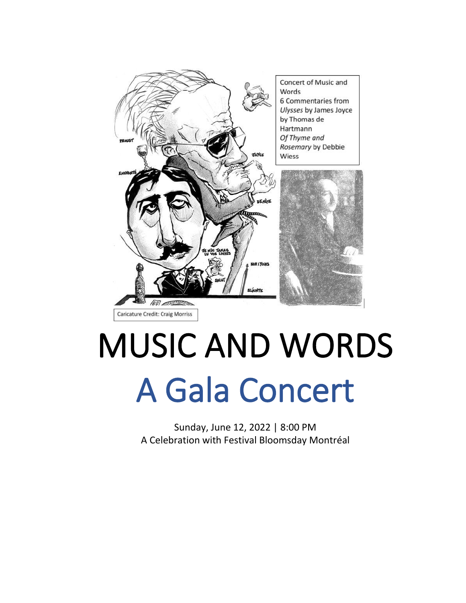

# MUSIC AND WORDS A Gala Concert

Sunday, June 12, 2022 | 8:00 PM A Celebration with Festival Bloomsday Montréal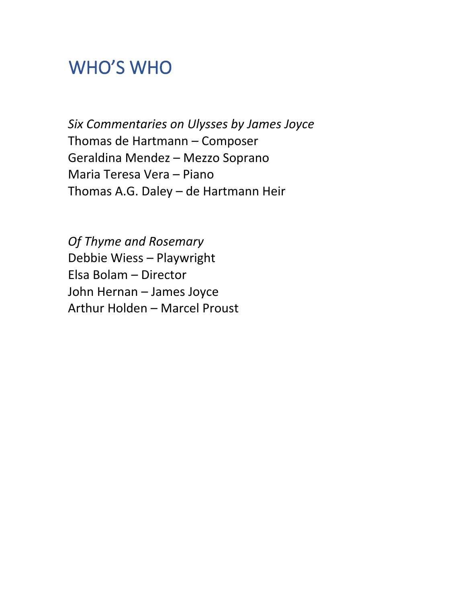# WHO'S WHO

*Six Commentaries on Ulysses by James Joyce* Thomas de Hartmann – Composer Geraldina Mendez – Mezzo Soprano Maria Teresa Vera – Piano Thomas A.G. Daley – de Hartmann Heir

*Of Thyme and Rosemary* Debbie Wiess – Playwright Elsa Bolam – Director John Hernan – James Joyce Arthur Holden – Marcel Proust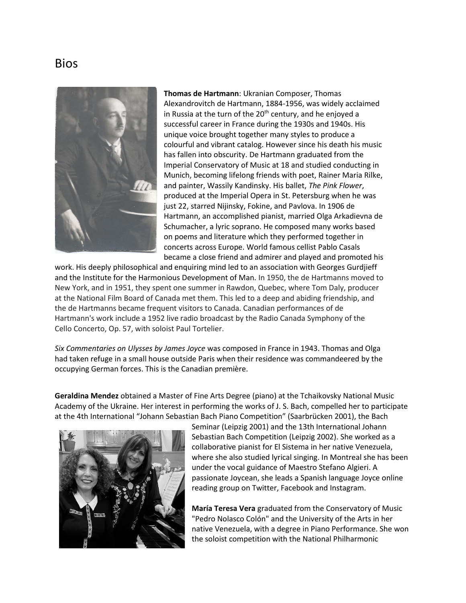#### Bios



**Thomas de Hartmann**: Ukranian Composer, Thomas Alexandrovitch de Hartmann, 1884-1956, was widely acclaimed in Russia at the turn of the  $20<sup>th</sup>$  century, and he enjoyed a successful career in France during the 1930s and 1940s. His unique voice brought together many styles to produce a colourful and vibrant catalog. However since his death his music has fallen into obscurity. De Hartmann graduated from the Imperial Conservatory of Music at 18 and studied conducting in Munich, becoming lifelong friends with poet, Rainer Maria Rilke, and painter, Wassily Kandinsky. His ballet, *The Pink Flower*, produced at the Imperial Opera in St. Petersburg when he was just 22, starred Nijinsky, Fokine, and Pavlova. In 1906 de Hartmann, an accomplished pianist, married Olga Arkadievna de Schumacher, a lyric soprano. He composed many works based on poems and literature which they performed together in concerts across Europe. World famous cellist Pablo Casals became a close friend and admirer and played and promoted his

work. His deeply philosophical and enquiring mind led to an association with Georges Gurdjieff and the Institute for the Harmonious Development of Man. In 1950, the de Hartmanns moved to New York, and in 1951, they spent one summer in Rawdon, Quebec, where Tom Daly, producer at the National Film Board of Canada met them. This led to a deep and abiding friendship, and the de Hartmanns became frequent visitors to Canada. Canadian performances of de Hartmann's work include a 1952 live radio broadcast by the Radio Canada Symphony of the Cello Concerto, Op. 57, with soloist Paul Tortelier.

*Six Commentaries on Ulysses by James Joyce* was composed in France in 1943. Thomas and Olga had taken refuge in a small house outside Paris when their residence was commandeered by the occupying German forces. This is the Canadian première.

**Geraldina Mendez** obtained a Master of Fine Arts Degree (piano) at the Tchaikovsky National Music Academy of the Ukraine. Her interest in performing the works of J. S. Bach, compelled her to participate at the 4th International "Johann Sebastian Bach Piano Competition" (Saarbrücken 2001), the Bach



Seminar (Leipzig 2001) and the 13th International Johann Sebastian Bach Competition (Leipzig 2002). She worked as a collaborative pianist for El Sistema in her native Venezuela, where she also studied lyrical singing. In Montreal she has been under the vocal guidance of Maestro Stefano Algieri. A passionate Joycean, she leads a Spanish language Joyce online reading group on Twitter, Facebook and Instagram.

**María Teresa Vera** graduated from the Conservatory of Music "Pedro Nolasco Colón" and the University of the Arts in her native Venezuela, with a degree in Piano Performance. She won the soloist competition with the National Philharmonic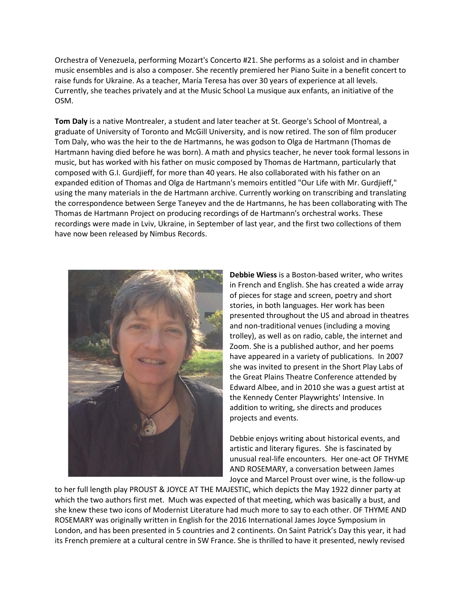Orchestra of Venezuela, performing Mozart's Concerto #21. She performs as a soloist and in chamber music ensembles and is also a composer. She recently premiered her Piano Suite in a benefit concert to raise funds for Ukraine. As a teacher, María Teresa has over 30 years of experience at all levels. Currently, she teaches privately and at the Music School La musique aux enfants, an initiative of the OSM.

**Tom Daly** is a native Montrealer, a student and later teacher at St. George's School of Montreal, a graduate of University of Toronto and McGill University, and is now retired. The son of film producer Tom Daly, who was the heir to the de Hartmanns, he was godson to Olga de Hartmann (Thomas de Hartmann having died before he was born). A math and physics teacher, he never took formal lessons in music, but has worked with his father on music composed by Thomas de Hartmann, particularly that composed with G.I. Gurdjieff, for more than 40 years. He also collaborated with his father on an expanded edition of Thomas and Olga de Hartmann's memoirs entitled "Our Life with Mr. Gurdjieff," using the many materials in the de Hartmann archive. Currently working on transcribing and translating the correspondence between Serge Taneyev and the de Hartmanns, he has been collaborating with The Thomas de Hartmann Project on producing recordings of de Hartmann's orchestral works. These recordings were made in Lviv, Ukraine, in September of last year, and the first two collections of them have now been released by Nimbus Records.



**Debbie Wiess** is a Boston-based writer, who writes in French and English. She has created a wide array of pieces for stage and screen, poetry and short stories, in both languages. Her work has been presented throughout the US and abroad in theatres and non-traditional venues (including a moving trolley), as well as on radio, cable, the internet and Zoom. She is a published author, and her poems have appeared in a variety of publications. In 2007 she was invited to present in the Short Play Labs of the Great Plains Theatre Conference attended by Edward Albee, and in 2010 she was a guest artist at the Kennedy Center Playwrights' Intensive. In addition to writing, she directs and produces projects and events.

Debbie enjoys writing about historical events, and artistic and literary figures. She is fascinated by unusual real-life encounters. Her one-act OF THYME AND ROSEMARY, a conversation between James Joyce and Marcel Proust over wine, is the follow-up

to her full length play PROUST & JOYCE AT THE MAJESTIC, which depicts the May 1922 dinner party at which the two authors first met. Much was expected of that meeting, which was basically a bust, and she knew these two icons of Modernist Literature had much more to say to each other. OF THYME AND ROSEMARY was originally written in English for the 2016 International James Joyce Symposium in London, and has been presented in 5 countries and 2 continents. On Saint Patrick's Day this year, it had its French premiere at a cultural centre in SW France. She is thrilled to have it presented, newly revised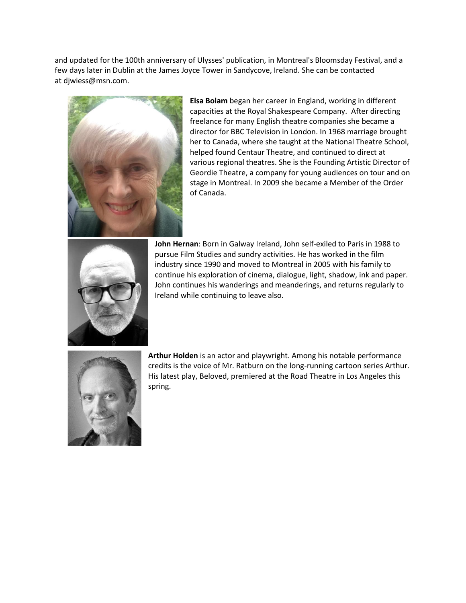and updated for the 100th anniversary of Ulysses' publication, in Montreal's Bloomsday Festival, and a few days later in Dublin at the James Joyce Tower in Sandycove, Ireland. She can be contacted at [djwiess@msn.com.](mailto:djwiess@msn.com)



**Elsa Bolam** began her career in England, working in different capacities at the Royal Shakespeare Company. After directing freelance for many English theatre companies she became a director for BBC Television in London. In 1968 marriage brought her to Canada, where she taught at the National Theatre School, helped found Centaur Theatre, and continued to direct at various regional theatres. She is the Founding Artistic Director of Geordie Theatre, a company for young audiences on tour and on stage in Montreal. In 2009 she became a Member of the Order of Canada.



**John Hernan**: Born in Galway Ireland, John self-exiled to Paris in 1988 to pursue Film Studies and sundry activities. He has worked in the film industry since 1990 and moved to Montreal in 2005 with his family to continue his exploration of cinema, dialogue, light, shadow, ink and paper. John continues his wanderings and meanderings, and returns regularly to Ireland while continuing to leave also.



**Arthur Holden** is an actor and playwright. Among his notable performance credits is the voice of Mr. Ratburn on the long-running cartoon series Arthur. His latest play, Beloved, premiered at the Road Theatre in Los Angeles this spring.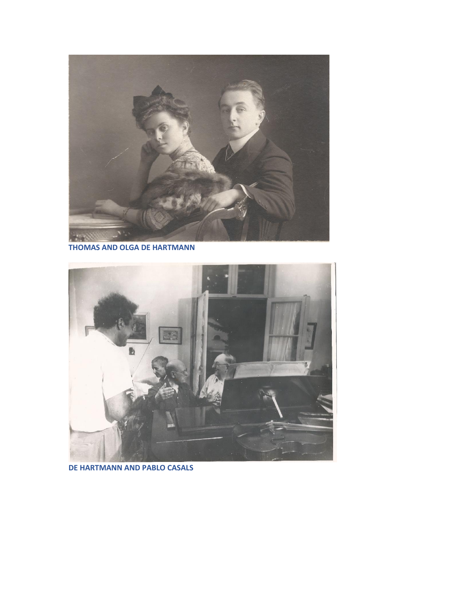

**THOMAS AND OLGA DE HARTMANN**



**DE HARTMANN AND PABLO CASALS**